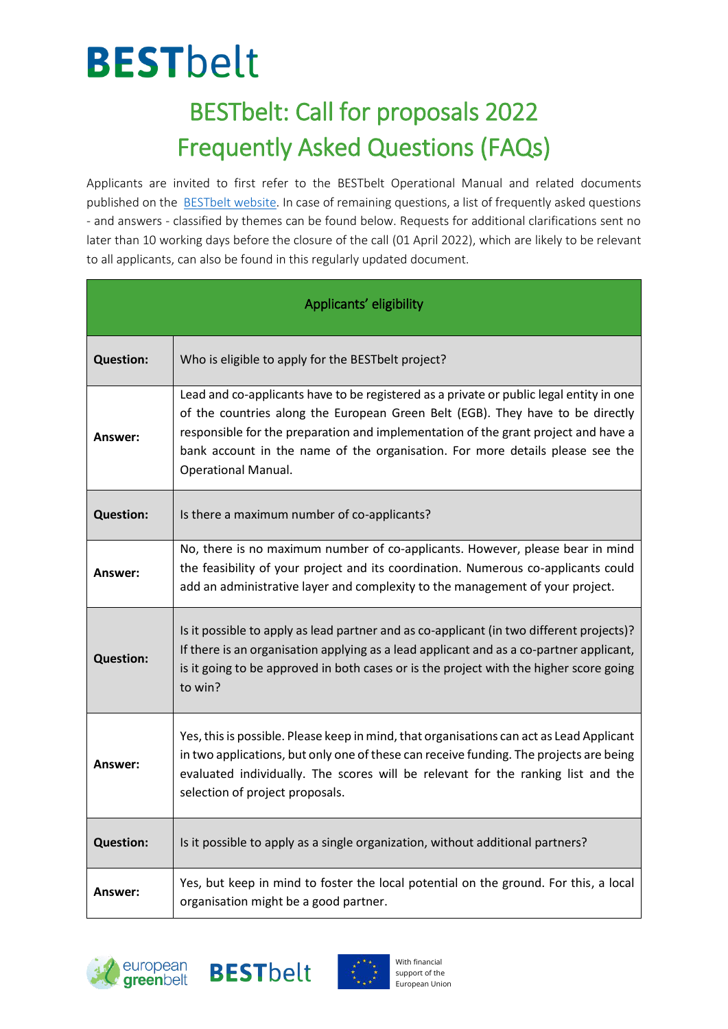#### **BESTbelt** BESTbelt: Call for proposals 2022

#### Frequently Asked Questions (FAQs)

Applicants are invited to first refer to the BESTbelt Operational Manual and related documents published on the [BESTbelt website.](https://www.europeangreenbelt.org/best-belt/) In case of remaining questions, a list of frequently asked questions - and answers - classified by themes can be found below. Requests for additional clarifications sent no later than 10 working days before the closure of the call (01 April 2022), which are likely to be relevant to all applicants, can also be found in this regularly updated document.

| Applicants' eligibility |                                                                                                                                                                                                                                                                                                                                                                                |
|-------------------------|--------------------------------------------------------------------------------------------------------------------------------------------------------------------------------------------------------------------------------------------------------------------------------------------------------------------------------------------------------------------------------|
| <b>Question:</b>        | Who is eligible to apply for the BESTbelt project?                                                                                                                                                                                                                                                                                                                             |
| Answer:                 | Lead and co-applicants have to be registered as a private or public legal entity in one<br>of the countries along the European Green Belt (EGB). They have to be directly<br>responsible for the preparation and implementation of the grant project and have a<br>bank account in the name of the organisation. For more details please see the<br><b>Operational Manual.</b> |
| <b>Question:</b>        | Is there a maximum number of co-applicants?                                                                                                                                                                                                                                                                                                                                    |
| Answer:                 | No, there is no maximum number of co-applicants. However, please bear in mind<br>the feasibility of your project and its coordination. Numerous co-applicants could<br>add an administrative layer and complexity to the management of your project.                                                                                                                           |
| <b>Question:</b>        | Is it possible to apply as lead partner and as co-applicant (in two different projects)?<br>If there is an organisation applying as a lead applicant and as a co-partner applicant,<br>is it going to be approved in both cases or is the project with the higher score going<br>to win?                                                                                       |
| Answer:                 | Yes, this is possible. Please keep in mind, that organisations can act as Lead Applicant<br>in two applications, but only one of these can receive funding. The projects are being<br>evaluated individually. The scores will be relevant for the ranking list and the<br>selection of project proposals.                                                                      |
| <b>Question:</b>        | Is it possible to apply as a single organization, without additional partners?                                                                                                                                                                                                                                                                                                 |
| Answer:                 | Yes, but keep in mind to foster the local potential on the ground. For this, a local<br>organisation might be a good partner.                                                                                                                                                                                                                                                  |





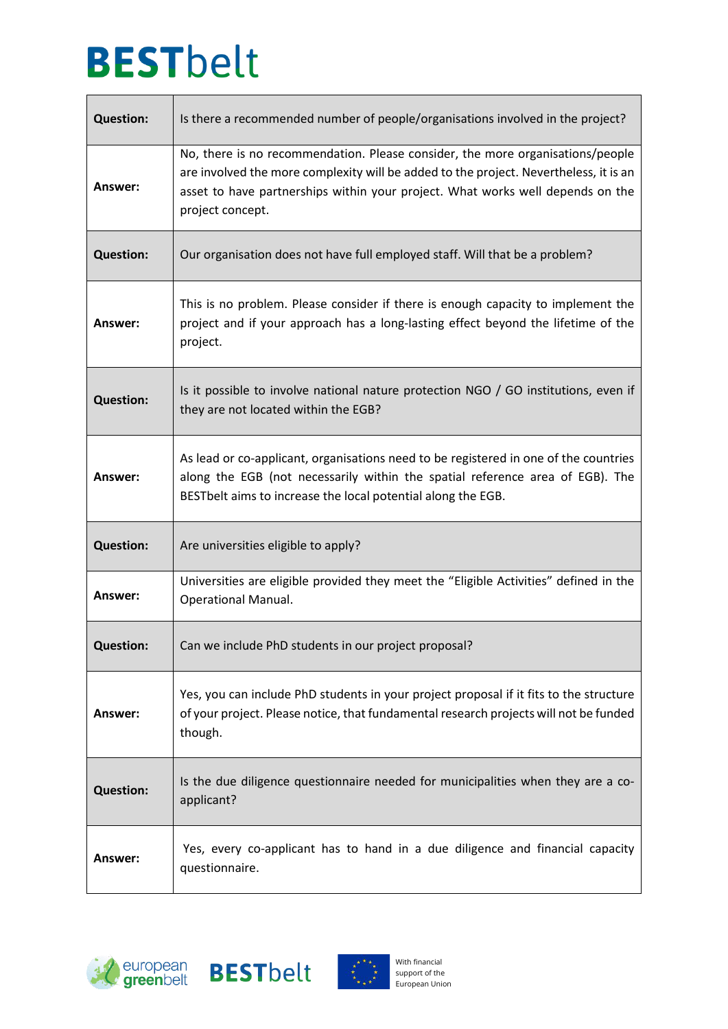$\mathsf{r}$ 

| <b>Question:</b> | Is there a recommended number of people/organisations involved in the project?                                                                                                                                                                                                |
|------------------|-------------------------------------------------------------------------------------------------------------------------------------------------------------------------------------------------------------------------------------------------------------------------------|
| Answer:          | No, there is no recommendation. Please consider, the more organisations/people<br>are involved the more complexity will be added to the project. Nevertheless, it is an<br>asset to have partnerships within your project. What works well depends on the<br>project concept. |
| <b>Question:</b> | Our organisation does not have full employed staff. Will that be a problem?                                                                                                                                                                                                   |
| Answer:          | This is no problem. Please consider if there is enough capacity to implement the<br>project and if your approach has a long-lasting effect beyond the lifetime of the<br>project.                                                                                             |
| <b>Question:</b> | Is it possible to involve national nature protection NGO / GO institutions, even if<br>they are not located within the EGB?                                                                                                                                                   |
| Answer:          | As lead or co-applicant, organisations need to be registered in one of the countries<br>along the EGB (not necessarily within the spatial reference area of EGB). The<br>BESTbelt aims to increase the local potential along the EGB.                                         |
| <b>Question:</b> | Are universities eligible to apply?                                                                                                                                                                                                                                           |
| Answer:          | Universities are eligible provided they meet the "Eligible Activities" defined in the<br><b>Operational Manual.</b>                                                                                                                                                           |
| <b>Question:</b> | Can we include PhD students in our project proposal?                                                                                                                                                                                                                          |
| Answer:          | Yes, you can include PhD students in your project proposal if it fits to the structure<br>of your project. Please notice, that fundamental research projects will not be funded<br>though.                                                                                    |
| <b>Question:</b> | Is the due diligence questionnaire needed for municipalities when they are a co-<br>applicant?                                                                                                                                                                                |
| Answer:          | Yes, every co-applicant has to hand in a due diligence and financial capacity<br>questionnaire.                                                                                                                                                                               |

٦





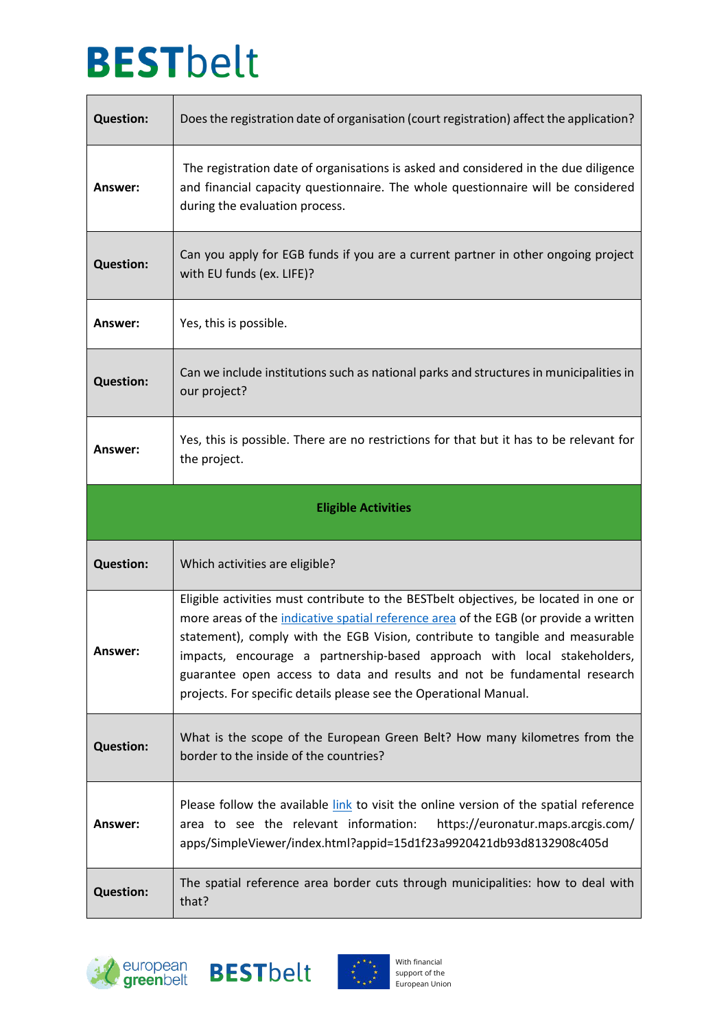$\mathsf{r}$ 

| <b>Question:</b>           | Does the registration date of organisation (court registration) affect the application?                                                                                                                                                                                                                                                                                                                                                                                                     |
|----------------------------|---------------------------------------------------------------------------------------------------------------------------------------------------------------------------------------------------------------------------------------------------------------------------------------------------------------------------------------------------------------------------------------------------------------------------------------------------------------------------------------------|
| Answer:                    | The registration date of organisations is asked and considered in the due diligence<br>and financial capacity questionnaire. The whole questionnaire will be considered<br>during the evaluation process.                                                                                                                                                                                                                                                                                   |
| <b>Question:</b>           | Can you apply for EGB funds if you are a current partner in other ongoing project<br>with EU funds (ex. LIFE)?                                                                                                                                                                                                                                                                                                                                                                              |
| Answer:                    | Yes, this is possible.                                                                                                                                                                                                                                                                                                                                                                                                                                                                      |
| <b>Question:</b>           | Can we include institutions such as national parks and structures in municipalities in<br>our project?                                                                                                                                                                                                                                                                                                                                                                                      |
| Answer:                    | Yes, this is possible. There are no restrictions for that but it has to be relevant for<br>the project.                                                                                                                                                                                                                                                                                                                                                                                     |
| <b>Eligible Activities</b> |                                                                                                                                                                                                                                                                                                                                                                                                                                                                                             |
|                            |                                                                                                                                                                                                                                                                                                                                                                                                                                                                                             |
| <b>Question:</b>           | Which activities are eligible?                                                                                                                                                                                                                                                                                                                                                                                                                                                              |
| \nswer:                    | Eligible activities must contribute to the BESTbelt objectives, be located in one or<br>more areas of the indicative spatial reference area of the EGB (or provide a written<br>statement), comply with the EGB Vision, contribute to tangible and measurable<br>impacts, encourage a partnership-based approach with local stakeholders,<br>guarantee open access to data and results and not be fundamental research<br>projects. For specific details please see the Operational Manual. |
| <b>Question:</b>           | What is the scope of the European Green Belt? How many kilometres from the<br>border to the inside of the countries?                                                                                                                                                                                                                                                                                                                                                                        |
| Answer:                    | Please follow the available link to visit the online version of the spatial reference<br>area to see the relevant information:<br>https://euronatur.maps.arcgis.com/<br>apps/SimpleViewer/index.html?appid=15d1f23a9920421db93d8132908c405d                                                                                                                                                                                                                                                 |

٦





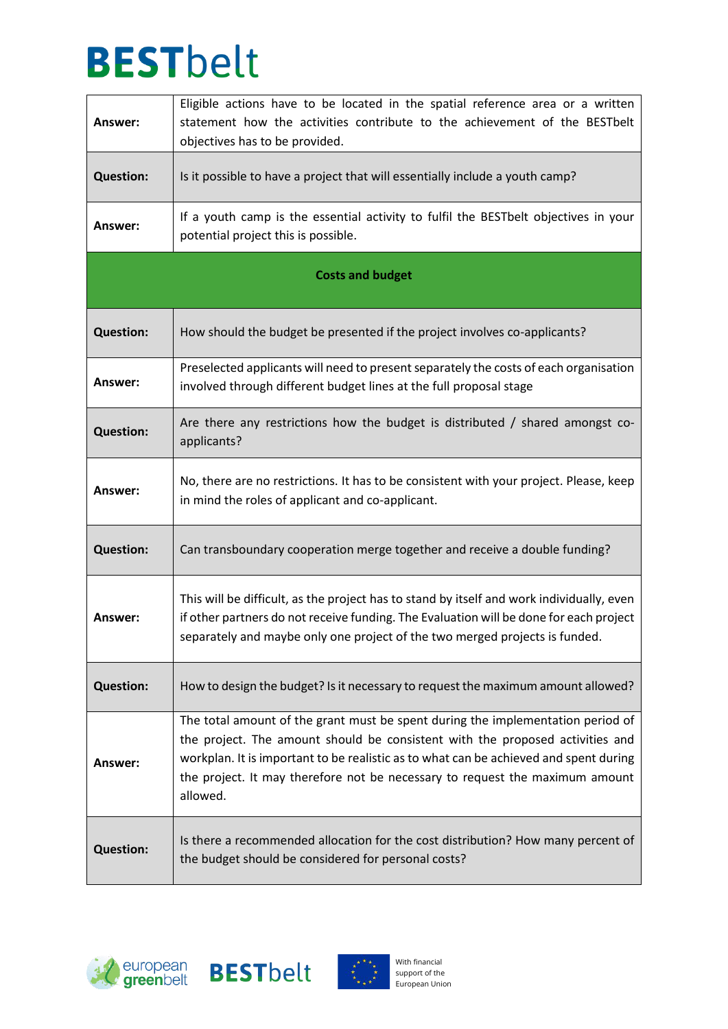| Answer:                 | Eligible actions have to be located in the spatial reference area or a written<br>statement how the activities contribute to the achievement of the BESTbelt<br>objectives has to be provided.                                                                                                                                                        |
|-------------------------|-------------------------------------------------------------------------------------------------------------------------------------------------------------------------------------------------------------------------------------------------------------------------------------------------------------------------------------------------------|
| <b>Question:</b>        | Is it possible to have a project that will essentially include a youth camp?                                                                                                                                                                                                                                                                          |
| Answer:                 | If a youth camp is the essential activity to fulfil the BESTbelt objectives in your<br>potential project this is possible.                                                                                                                                                                                                                            |
| <b>Costs and budget</b> |                                                                                                                                                                                                                                                                                                                                                       |
| <b>Question:</b>        | How should the budget be presented if the project involves co-applicants?                                                                                                                                                                                                                                                                             |
| Answer:                 | Preselected applicants will need to present separately the costs of each organisation<br>involved through different budget lines at the full proposal stage                                                                                                                                                                                           |
| <b>Question:</b>        | Are there any restrictions how the budget is distributed / shared amongst co-<br>applicants?                                                                                                                                                                                                                                                          |
| Answer:                 | No, there are no restrictions. It has to be consistent with your project. Please, keep<br>in mind the roles of applicant and co-applicant.                                                                                                                                                                                                            |
| <b>Question:</b>        | Can transboundary cooperation merge together and receive a double funding?                                                                                                                                                                                                                                                                            |
| Answer:                 | This will be difficult, as the project has to stand by itself and work individually, even<br>if other partners do not receive funding. The Evaluation will be done for each project<br>separately and maybe only one project of the two merged projects is funded.                                                                                    |
| <b>Question:</b>        | How to design the budget? Is it necessary to request the maximum amount allowed?                                                                                                                                                                                                                                                                      |
| Answer:                 | The total amount of the grant must be spent during the implementation period of<br>the project. The amount should be consistent with the proposed activities and<br>workplan. It is important to be realistic as to what can be achieved and spent during<br>the project. It may therefore not be necessary to request the maximum amount<br>allowed. |
| <b>Question:</b>        | Is there a recommended allocation for the cost distribution? How many percent of<br>the budget should be considered for personal costs?                                                                                                                                                                                                               |





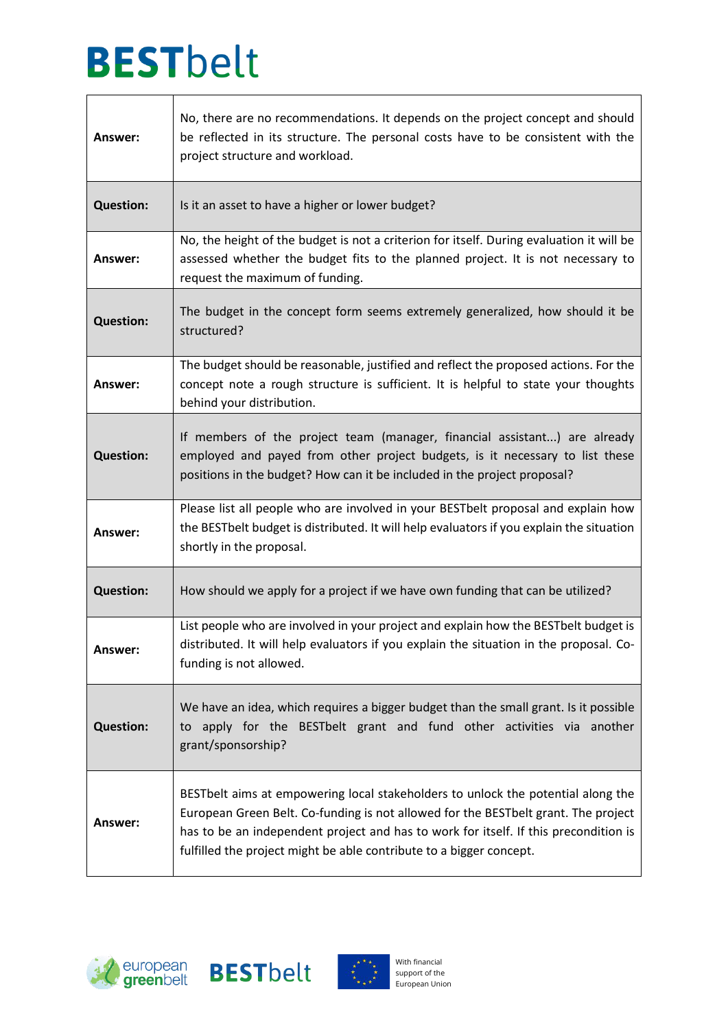| Answer:          | No, there are no recommendations. It depends on the project concept and should<br>be reflected in its structure. The personal costs have to be consistent with the<br>project structure and workload.                                                                                                                                 |
|------------------|---------------------------------------------------------------------------------------------------------------------------------------------------------------------------------------------------------------------------------------------------------------------------------------------------------------------------------------|
| <b>Question:</b> | Is it an asset to have a higher or lower budget?                                                                                                                                                                                                                                                                                      |
| Answer:          | No, the height of the budget is not a criterion for itself. During evaluation it will be<br>assessed whether the budget fits to the planned project. It is not necessary to<br>request the maximum of funding.                                                                                                                        |
| <b>Question:</b> | The budget in the concept form seems extremely generalized, how should it be<br>structured?                                                                                                                                                                                                                                           |
| Answer:          | The budget should be reasonable, justified and reflect the proposed actions. For the<br>concept note a rough structure is sufficient. It is helpful to state your thoughts<br>behind your distribution.                                                                                                                               |
| <b>Question:</b> | If members of the project team (manager, financial assistant) are already<br>employed and payed from other project budgets, is it necessary to list these<br>positions in the budget? How can it be included in the project proposal?                                                                                                 |
| Answer:          | Please list all people who are involved in your BESTbelt proposal and explain how<br>the BESTbelt budget is distributed. It will help evaluators if you explain the situation<br>shortly in the proposal.                                                                                                                             |
| <b>Question:</b> | How should we apply for a project if we have own funding that can be utilized?                                                                                                                                                                                                                                                        |
| Answer:          | List people who are involved in your project and explain how the BESTbelt budget is<br>distributed. It will help evaluators if you explain the situation in the proposal. Co-<br>funding is not allowed.                                                                                                                              |
| <b>Question:</b> | We have an idea, which requires a bigger budget than the small grant. Is it possible<br>to apply for the BESTbelt grant and fund other activities via another<br>grant/sponsorship?                                                                                                                                                   |
| Answer:          | BESTbelt aims at empowering local stakeholders to unlock the potential along the<br>European Green Belt. Co-funding is not allowed for the BESTbelt grant. The project<br>has to be an independent project and has to work for itself. If this precondition is<br>fulfilled the project might be able contribute to a bigger concept. |





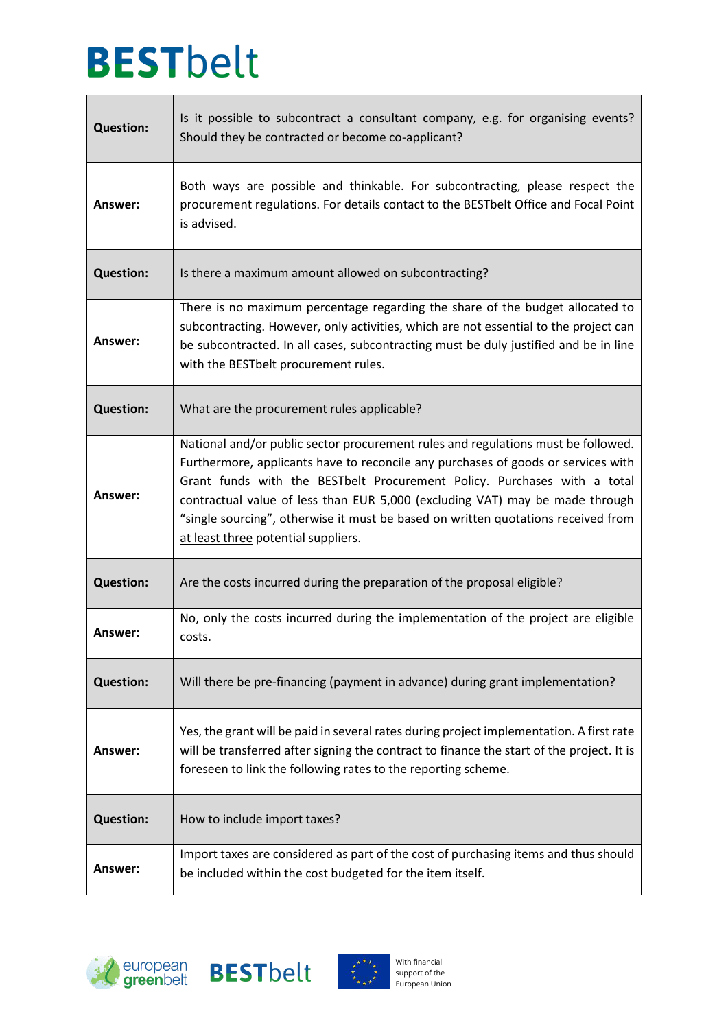I.

| <b>Question:</b> | Is it possible to subcontract a consultant company, e.g. for organising events?<br>Should they be contracted or become co-applicant?                                                                                                                                                                                                                                                                                                                           |
|------------------|----------------------------------------------------------------------------------------------------------------------------------------------------------------------------------------------------------------------------------------------------------------------------------------------------------------------------------------------------------------------------------------------------------------------------------------------------------------|
| Answer:          | Both ways are possible and thinkable. For subcontracting, please respect the<br>procurement regulations. For details contact to the BESTbelt Office and Focal Point<br>is advised.                                                                                                                                                                                                                                                                             |
| <b>Question:</b> | Is there a maximum amount allowed on subcontracting?                                                                                                                                                                                                                                                                                                                                                                                                           |
| Answer:          | There is no maximum percentage regarding the share of the budget allocated to<br>subcontracting. However, only activities, which are not essential to the project can<br>be subcontracted. In all cases, subcontracting must be duly justified and be in line<br>with the BESTbelt procurement rules.                                                                                                                                                          |
| <b>Question:</b> | What are the procurement rules applicable?                                                                                                                                                                                                                                                                                                                                                                                                                     |
| Answer:          | National and/or public sector procurement rules and regulations must be followed.<br>Furthermore, applicants have to reconcile any purchases of goods or services with<br>Grant funds with the BESTbelt Procurement Policy. Purchases with a total<br>contractual value of less than EUR 5,000 (excluding VAT) may be made through<br>"single sourcing", otherwise it must be based on written quotations received from<br>at least three potential suppliers. |
| <b>Question:</b> | Are the costs incurred during the preparation of the proposal eligible?                                                                                                                                                                                                                                                                                                                                                                                        |
| <b>Answer:</b>   | No, only the costs incurred during the implementation of the project are eligible<br>costs.                                                                                                                                                                                                                                                                                                                                                                    |
| <b>Question:</b> | Will there be pre-financing (payment in advance) during grant implementation?                                                                                                                                                                                                                                                                                                                                                                                  |
| Answer:          | Yes, the grant will be paid in several rates during project implementation. A first rate<br>will be transferred after signing the contract to finance the start of the project. It is<br>foreseen to link the following rates to the reporting scheme.                                                                                                                                                                                                         |
| <b>Question:</b> | How to include import taxes?                                                                                                                                                                                                                                                                                                                                                                                                                                   |
| Answer:          | Import taxes are considered as part of the cost of purchasing items and thus should<br>be included within the cost budgeted for the item itself.                                                                                                                                                                                                                                                                                                               |

 $\overline{\phantom{a}}$ 





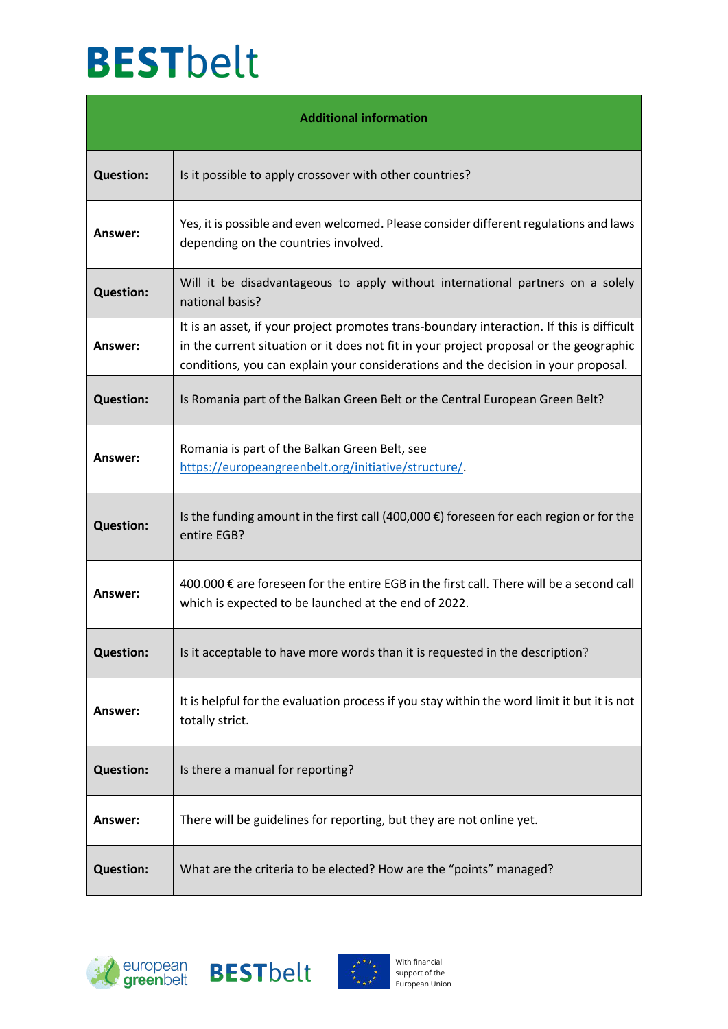| <b>Additional information</b> |                                                                                                                                                                                                                                                                           |
|-------------------------------|---------------------------------------------------------------------------------------------------------------------------------------------------------------------------------------------------------------------------------------------------------------------------|
| <b>Question:</b>              | Is it possible to apply crossover with other countries?                                                                                                                                                                                                                   |
| Answer:                       | Yes, it is possible and even welcomed. Please consider different regulations and laws<br>depending on the countries involved.                                                                                                                                             |
| <b>Question:</b>              | Will it be disadvantageous to apply without international partners on a solely<br>national basis?                                                                                                                                                                         |
| Answer:                       | It is an asset, if your project promotes trans-boundary interaction. If this is difficult<br>in the current situation or it does not fit in your project proposal or the geographic<br>conditions, you can explain your considerations and the decision in your proposal. |
| <b>Question:</b>              | Is Romania part of the Balkan Green Belt or the Central European Green Belt?                                                                                                                                                                                              |
| Answer:                       | Romania is part of the Balkan Green Belt, see<br>https://europeangreenbelt.org/initiative/structure/                                                                                                                                                                      |
| <b>Question:</b>              | Is the funding amount in the first call (400,000 $\epsilon$ ) foreseen for each region or for the<br>entire EGB?                                                                                                                                                          |
| Answer:                       | 400.000 € are foreseen for the entire EGB in the first call. There will be a second call<br>which is expected to be launched at the end of 2022.                                                                                                                          |
| <b>Question:</b>              | Is it acceptable to have more words than it is requested in the description?                                                                                                                                                                                              |
| Answer:                       | It is helpful for the evaluation process if you stay within the word limit it but it is not<br>totally strict.                                                                                                                                                            |
| <b>Question:</b>              | Is there a manual for reporting?                                                                                                                                                                                                                                          |
| Answer:                       | There will be guidelines for reporting, but they are not online yet.                                                                                                                                                                                                      |
| <b>Question:</b>              | What are the criteria to be elected? How are the "points" managed?                                                                                                                                                                                                        |